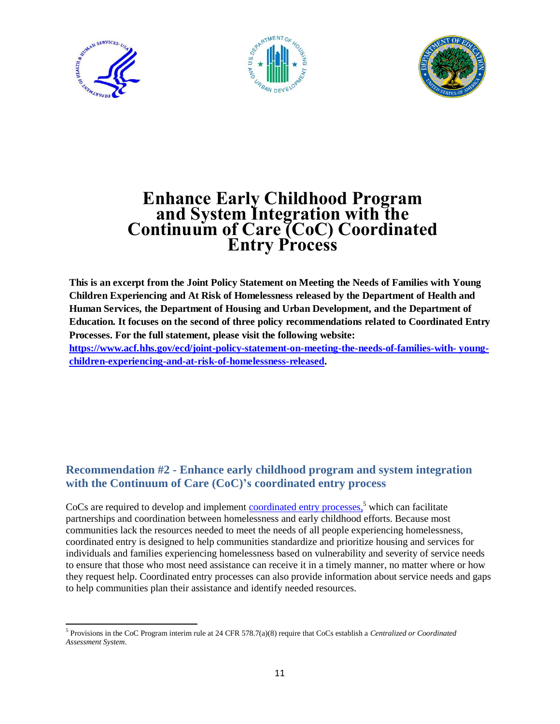





# **Enhance Early Childhood Program and System Integration with the Continuum of Care (CoC) Coordinated Entry Process**

**This is an excerpt from the Joint Policy Statement on Meeting the Needs of Families with Young Children Experiencing and At Risk of Homelessness released by the Department of Health and Human Services, the Department of Housing and Urban Development, and the Department of Education. It focuses on the second of three policy recommendations related to Coordinated Entry Processes. For the full statement, please visit the following website: [https://www.acf.hhs.gov/ecd/joint-policy-statement-on-meeting-the-needs-of-families-with- young](https://www.acf.hhs.gov/ecd/joint-policy-statement-on-meeting-the-needs-of-families-with-young-children-experiencing-and-at-risk-of-homelessness-released)children-experiencing-and-at-risk-of-homelessness-released.**

## **Recommendation #2 - Enhance early childhood program and system integration with the Continuum of Care (CoC)'s coordinated entry process**

CoCs are required to develop and implement [coordinated entry processes,](https://www.hudexchange.info/resources/documents/Coordinated-Entry-Policy-Brief.pdf)<sup>5</sup> which can facilitate partnerships and coordination between homelessness and early childhood efforts. Because most communities lack the resources needed to meet the needs of all people experiencing homelessness, coordinated entry is designed to help communities standardize and prioritize housing and services for individuals and families experiencing homelessness based on vulnerability and severity of service needs to ensure that those who most need assistance can receive it in a timely manner, no matter where or how they request help. Coordinated entry processes can also provide information about service needs and gaps to help communities plan their assistance and identify needed resources.

<sup>5</sup> Provisions in the CoC Program interim rule at 24 CFR 578.7(a)(8) require that CoCs establish a *Centralized or Coordinated Assessment System*.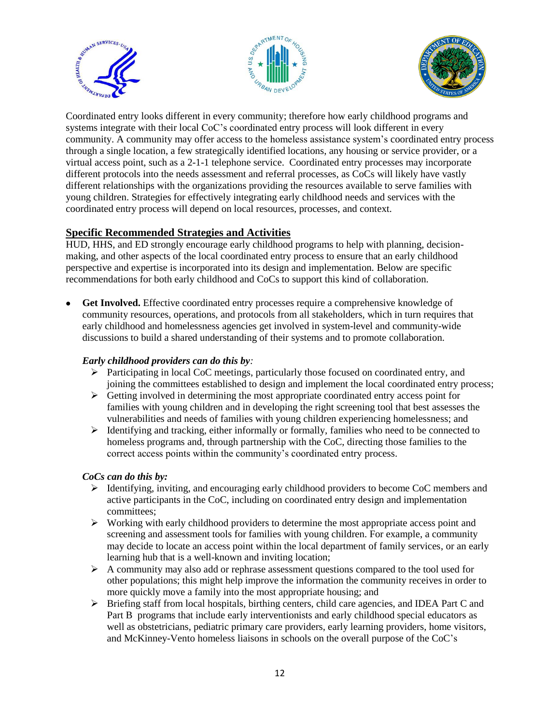





Coordinated entry looks different in every community; therefore how early childhood programs and systems integrate with their local CoC's coordinated entry process will look different in every community. A community may offer access to the homeless assistance system's coordinated entry process through a single location, a few strategically identified locations, any housing or service provider, or a virtual access point, such as a 2-1-1 telephone service. Coordinated entry processes may incorporate different protocols into the needs assessment and referral processes, as CoCs will likely have vastly different relationships with the organizations providing the resources available to serve families with young children. Strategies for effectively integrating early childhood needs and services with the coordinated entry process will depend on local resources, processes, and context.

## **Specific Recommended Strategies and Activities**

HUD, HHS, and ED strongly encourage early childhood programs to help with planning, decisionmaking, and other aspects of the local coordinated entry process to ensure that an early childhood perspective and expertise is incorporated into its design and implementation. Below are specific recommendations for both early childhood and CoCs to support this kind of collaboration.

 **Get Involved.** Effective coordinated entry processes require a comprehensive knowledge of community resources, operations, and protocols from all stakeholders, which in turn requires that early childhood and homelessness agencies get involved in system-level and community-wide discussions to build a shared understanding of their systems and to promote collaboration.

## *Early childhood providers can do this by:*

- Participating in local CoC meetings, particularly those focused on coordinated entry, and joining the committees established to design and implement the local coordinated entry process;
- $\triangleright$  Getting involved in determining the most appropriate coordinated entry access point for families with young children and in developing the right screening tool that best assesses the vulnerabilities and needs of families with young children experiencing homelessness; and
- $\triangleright$  Identifying and tracking, either informally or formally, families who need to be connected to homeless programs and, through partnership with the CoC, directing those families to the correct access points within the community's coordinated entry process.

#### *CoCs can do this by:*

- $\triangleright$  Identifying, inviting, and encouraging early childhood providers to become CoC members and active participants in the CoC, including on coordinated entry design and implementation committees;
- $\triangleright$  Working with early childhood providers to determine the most appropriate access point and screening and assessment tools for families with young children. For example, a community may decide to locate an access point within the local department of family services, or an early learning hub that is a well-known and inviting location;
- $\triangleright$  A community may also add or rephrase assessment questions compared to the tool used for other populations; this might help improve the information the community receives in order to more quickly move a family into the most appropriate housing; and
- $\triangleright$  Briefing staff from local hospitals, birthing centers, child care agencies, and IDEA Part C and Part B programs that include early interventionists and early childhood special educators as well as obstetricians, pediatric primary care providers, early learning providers, home visitors, and McKinney-Vento homeless liaisons in schools on the overall purpose of the CoC's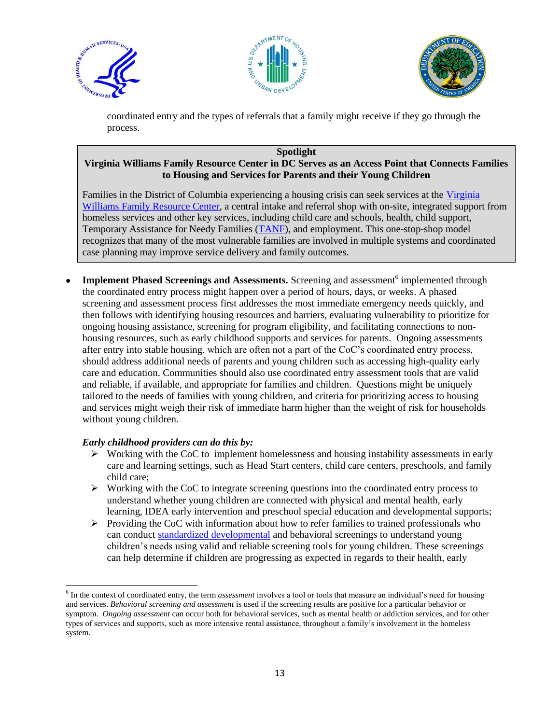





coordinated entry and the types of referrals that a family might receive if they go through the process.

#### **Spotlight Virginia Williams Family Resource Center in DC Serves as an Access Point that Connects Families to Housing and Services for Parents and their Young Children**

Families in the District of Columbia experiencing a housing crisis can seek services at the [Virginia](http://dhs.dc.gov/release/virginia-williams-family-resource-center-relocates)  [Williams Family Resource Center,](http://dhs.dc.gov/release/virginia-williams-family-resource-center-relocates) a central intake and referral shop with on-site, integrated support from homeless services and other key services, including child care and schools, health, child support, Temporary Assistance for Needy Families [\(TANF\)](http://www.acf.hhs.gov/ofa/programs/tanf), and employment. This one-stop-shop model recognizes that many of the most vulnerable families are involved in multiple systems and coordinated case planning may improve service delivery and family outcomes.

• Implement Phased Screenings and Assessments. Screening and assessment<sup>6</sup> implemented through the coordinated entry process might happen over a period of hours, days, or weeks. A phased screening and assessment process first addresses the most immediate emergency needs quickly, and then follows with identifying housing resources and barriers, evaluating vulnerability to prioritize for ongoing housing assistance, screening for program eligibility, and facilitating connections to nonhousing resources, such as early childhood supports and services for parents. Ongoing assessments after entry into stable housing, which are often not a part of the CoC's coordinated entry process, should address additional needs of parents and young children such as accessing high-quality early care and education. Communities should also use coordinated entry assessment tools that are valid and reliable, if available, and appropriate for families and children. Questions might be uniquely tailored to the needs of families with young children, and criteria for prioritizing access to housing and services might weigh their risk of immediate harm higher than the weight of risk for households without young children.

#### *Early childhood providers can do this by:*

 $\overline{\phantom{0}}$ 

- $\triangleright$  Working with the CoC to implement homelessness and housing instability assessments in early care and learning settings, such as Head Start centers, child care centers, preschools, and family child care;
- $\triangleright$  Working with the CoC to integrate screening questions into the coordinated entry process to understand whether young children are connected with physical and mental health, early learning, IDEA early intervention and preschool special education and developmental supports;
- $\triangleright$  Providing the CoC with information about how to refer families to trained professionals who can conduct [standardized developmental](https://www.acf.hhs.gov/sites/default/files/ecd/shelter_screening_guide.pdf) and behavioral screenings to understand young children's needs using valid and reliable screening tools for young children. These screenings can help determine if children are progressing as expected in regards to their health, early

<sup>6</sup> In the context of coordinated entry*,* the term *assessment* involves a tool or tools that measure an individual's need for housing and services. *Behavioral screening and assessment* is used if the screening results are positive for a particular behavior or symptom. *Ongoing assessment* can occur both for behavioral services, such as mental health or addiction services, and for other types of services and supports, such as more intensive rental assistance, throughout a family's involvement in the homeless system.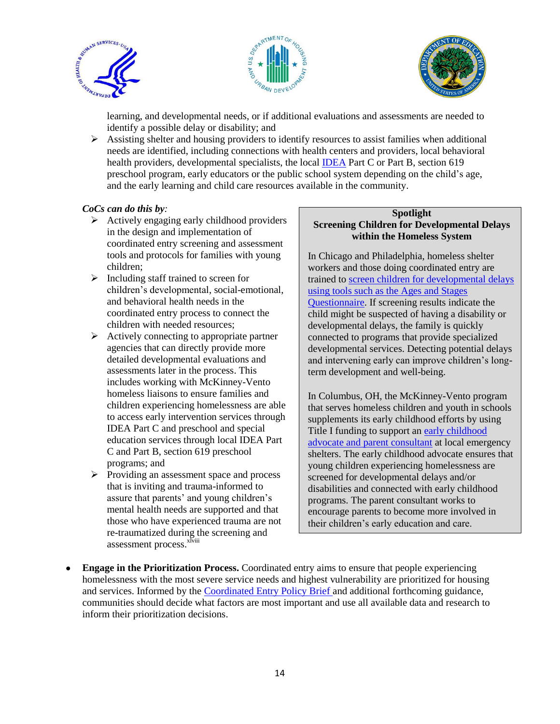





learning, and developmental needs, or if additional evaluations and assessments are needed to identify a possible delay or disability; and

 $\triangleright$  Assisting shelter and housing providers to identify resources to assist families when additional needs are identified, including connections with health centers and providers, local behavioral health providers, developmental specialists, the local [IDEA](http://idea.ed.gov/explore/home) Part C or Part B, section 619 preschool program, early educators or the public school system depending on the child's age, and the early learning and child care resources available in the community.

#### *CoCs can do this by:*

- $\triangleright$  Actively engaging early childhood providers in the design and implementation of coordinated entry screening and assessment tools and protocols for families with young children;
- $\triangleright$  Including staff trained to screen for children's developmental, social-emotional, and behavioral health needs in the coordinated entry process to connect the children with needed resources;
- $\triangleright$  Actively connecting to appropriate partner agencies that can directly provide more detailed developmental evaluations and assessments later in the process. This includes working with McKinney-Vento homeless liaisons to ensure families and children experiencing homelessness are able to access early intervention services through IDEA Part C and preschool and special education services through local IDEA Part C and Part B, section 619 preschool programs; and
- $\triangleright$  Providing an assessment space and process that is inviting and trauma-informed to assure that parents' and young children's mental health needs are supported and that those who have experienced trauma are not re-traumatized during the screening and assessment process.<sup>xlviii</sup>

#### **Spotlight Screening Children for Developmental Delays within the Homeless System**

In Chicago and Philadelphia, homeless shelter workers and those doing coordinated entry are trained to [screen children for developmental delays](http://www.endhomelessness.org/page/-/files/1.11%20Promoting%20Resiliency%20and%20Positive%20Outcomes%20for%20Young%20Children%20-%20Joe%20Willard.pdf)  [using tools such as the Ages and Stages](http://www.endhomelessness.org/page/-/files/1.11%20Promoting%20Resiliency%20and%20Positive%20Outcomes%20for%20Young%20Children%20-%20Joe%20Willard.pdf)  [Questionnaire.](http://www.endhomelessness.org/page/-/files/1.11%20Promoting%20Resiliency%20and%20Positive%20Outcomes%20for%20Young%20Children%20-%20Joe%20Willard.pdf) If screening results indicate the child might be suspected of having a disability or developmental delays, the family is quickly connected to programs that provide specialized developmental services. Detecting potential delays and intervening early can improve children's longterm development and well-being.

In Columbus, OH, the McKinney-Vento program that serves homeless children and youth in schools supplements its early childhood efforts by using Title I funding to support a[n early childhood](https://www.acf.hhs.gov/sites/default/files/ecd/nche_early_childhood_brief_november_2013.pdf)  [advocate and parent consultant](https://www.acf.hhs.gov/sites/default/files/ecd/nche_early_childhood_brief_november_2013.pdf) at local emergency shelters. The early childhood advocate ensures that young children experiencing homelessness are screened for developmental delays and/or disabilities and connected with early childhood programs. The parent consultant works to encourage parents to become more involved in their children's early education and care.

 **Engage in the Prioritization Process.** Coordinated entry aims to ensure that people experiencing homelessness with the most severe service needs and highest vulnerability are prioritized for housing and services. Informed by the [Coordinated Entry Policy Brief](https://www.hudexchange.info/resources/documents/Coordinated-Entry-Policy-Brief.pdf) and additional forthcoming guidance, communities should decide what factors are most important and use all available data and research to inform their prioritization decisions.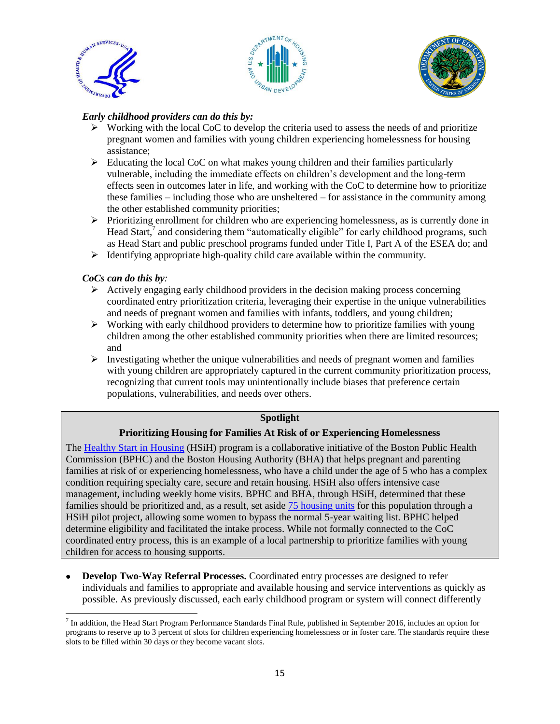





### *Early childhood providers can do this by:*

- $\triangleright$  Working with the local CoC to develop the criteria used to assess the needs of and prioritize pregnant women and families with young children experiencing homelessness for housing assistance;
- $\triangleright$  Educating the local CoC on what makes young children and their families particularly vulnerable, including the immediate effects on children's development and the long-term effects seen in outcomes later in life, and working with the CoC to determine how to prioritize these families – including those who are unsheltered – for assistance in the community among the other established community priorities;
- $\triangleright$  Prioritizing enrollment for children who are experiencing homelessness, as is currently done in Head Start, $^7$  and considering them "automatically eligible" for early childhood programs, such as Head Start and public preschool programs funded under Title I, Part A of the ESEA do; and
- $\triangleright$  Identifying appropriate high-quality child care available within the community.

## *CoCs can do this by:*

- $\triangleright$  Actively engaging early childhood providers in the decision making process concerning coordinated entry prioritization criteria, leveraging their expertise in the unique vulnerabilities and needs of pregnant women and families with infants, toddlers, and young children;
- $\triangleright$  Working with early childhood providers to determine how to prioritize families with young children among the other established community priorities when there are limited resources; and
- $\triangleright$  Investigating whether the unique vulnerabilities and needs of pregnant women and families with young children are appropriately captured in the current community prioritization process, recognizing that current tools may unintentionally include biases that preference certain populations, vulnerabilities, and needs over others.

#### **Spotlight**

#### **Prioritizing Housing for Families At Risk of or Experiencing Homelessness**

The [Healthy Start in Housing](https://www.bostonhousing.org/en/BHA-Blog/December-2014/Healthy-Start-in-Housing-provides-housing-and-serv.aspx) (HSiH) program is a collaborative initiative of the Boston Public Health Commission (BPHC) and the Boston Housing Authority (BHA) that helps pregnant and parenting families at risk of or experiencing homelessness, who have a child under the age of 5 who has a complex condition requiring specialty care, secure and retain housing. HSiH also offers intensive case management, including weekly home visits. BPHC and BHA, through HSiH, determined that these families should be prioritized and, as a result, set aside [75 housing units](https://www.ncbi.nlm.nih.gov/pubmed/23820672) for this population through a HSiH pilot project, allowing some women to bypass the normal 5-year waiting list. BPHC helped determine eligibility and facilitated the intake process. While not formally connected to the CoC coordinated entry process, this is an example of a local partnership to prioritize families with young children for access to housing supports.

 **Develop Two-Way Referral Processes.** Coordinated entry processes are designed to refer individuals and families to appropriate and available housing and service interventions as quickly as possible. As previously discussed, each early childhood program or system will connect differently

l  $^7$  In addition, the Head Start Program Performance Standards Final Rule, published in September 2016, includes an option for programs to reserve up to 3 percent of slots for children experiencing homelessness or in foster care. The standards require these slots to be filled within 30 days or they become vacant slots.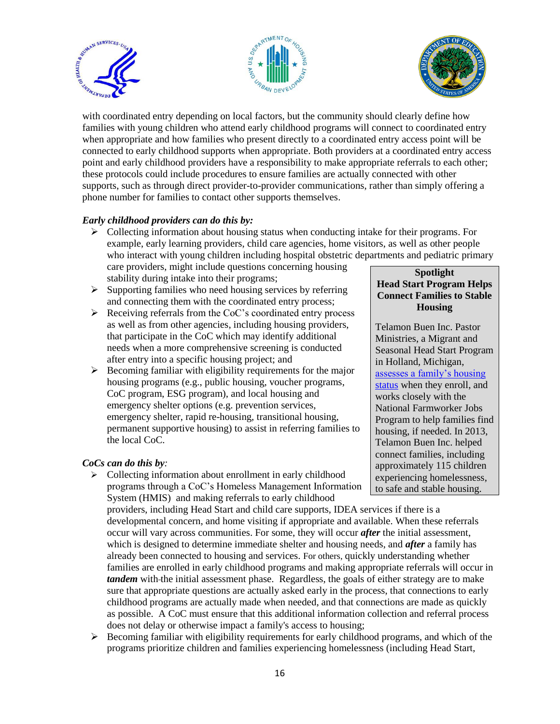





with coordinated entry depending on local factors, but the community should clearly define how families with young children who attend early childhood programs will connect to coordinated entry when appropriate and how families who present directly to a coordinated entry access point will be connected to early childhood supports when appropriate. Both providers at a coordinated entry access point and early childhood providers have a responsibility to make appropriate referrals to each other; these protocols could include procedures to ensure families are actually connected with other supports, such as through direct provider-to-provider communications, rather than simply offering a phone number for families to contact other supports themselves.

#### *Early childhood providers can do this by:*

 $\triangleright$  Collecting information about housing status when conducting intake for their programs. For example, early learning providers, child care agencies, home visitors, as well as other people who interact with young children including hospital obstetric departments and pediatric primary care providers, might include questions concerning housing

stability during intake into their programs;

- $\triangleright$  Supporting families who need housing services by referring and connecting them with the coordinated entry process;
- $\triangleright$  Receiving referrals from the CoC's coordinated entry process as well as from other agencies, including housing providers, that participate in the CoC which may identify additional needs when a more comprehensive screening is conducted after entry into a specific housing project; and
- $\triangleright$  Becoming familiar with eligibility requirements for the major housing programs (e.g., public housing, voucher programs, CoC program, ESG program), and local housing and emergency shelter options (e.g. prevention services, emergency shelter, rapid re-housing, transitional housing, permanent supportive housing) to assist in referring families to the local CoC.

#### *CoCs can do this by:*

 $\triangleright$  Collecting information about enrollment in early childhood programs through a CoC's Homeless Management Information System (HMIS) and making referrals to early childhood

providers, including Head Start and child care supports, IDEA services if there is a developmental concern, and home visiting if appropriate and available. When these referrals occur will vary across communities. For some, they will occur *after* the initial assessment, which is designed to determine immediate shelter and housing needs, and *after* a family has already been connected to housing and services. For others, quickly understanding whether families are enrolled in early childhood programs and making appropriate referrals will occur in *tandem* with-the initial assessment phase. Regardless, the goals of either strategy are to make sure that appropriate questions are actually asked early in the process, that connections to early childhood programs are actually made when needed, and that connections are made as quickly as possible. A CoC must ensure that this additional information collection and referral process does not delay or otherwise impact a family's access to housing;

 $\triangleright$  Becoming familiar with eligibility requirements for early childhood programs, and which of the programs prioritize children and families experiencing homelessness (including Head Start,

#### **Spotlight Head Start Program Helps Connect Families to Stable Housing**

Telamon Buen Inc. Pastor Ministries, a Migrant and Seasonal Head Start Program in Holland, Michigan, [assesses a family's housing](https://www.acf.hhs.gov/sites/default/files/ecd/building_partnerships.pdf)  [status](https://www.acf.hhs.gov/sites/default/files/ecd/building_partnerships.pdf) when they enroll, and works closely with the National Farmworker Jobs Program to help families find housing, if needed. In 2013, Telamon Buen Inc. helped connect families, including approximately 115 children experiencing homelessness, to safe and stable housing.